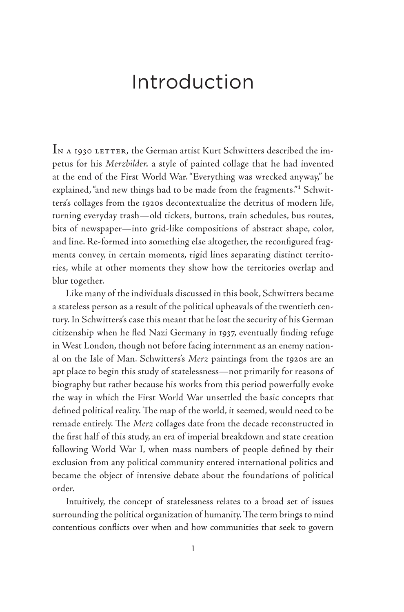$\rm I_{N}$  A 1930 LETTER, the German artist Kurt Schwitters described the impetus for his *Merzbilder,* a style of painted collage that he had invented at the end of the First World War. "Everything was wrecked anyway," he explained, "and new things had to be made from the fragments."1 Schwitters's collages from the 1920s decontextualize the detritus of modern life, turning everyday trash—old tickets, buttons, train schedules, bus routes, bits of newspaper—into grid-like compositions of abstract shape, color, and line. Re-formed into something else altogether, the reconfigured fragments convey, in certain moments, rigid lines separating distinct territories, while at other moments they show how the territories overlap and blur together.

Like many of the individuals discussed in this book, Schwitters became a stateless person as a result of the political upheavals of the twentieth century. In Schwitters's case this meant that he lost the security of his German citizenship when he fled Nazi Germany in 1937, eventually finding refuge in West London, though not before facing internment as an enemy national on the Isle of Man. Schwitters's *Merz* paintings from the 1920s are an apt place to begin this study of statelessness—not primarily for reasons of biography but rather because his works from this period powerfully evoke the way in which the First World War unsettled the basic concepts that defined political reality. The map of the world, it seemed, would need to be remade entirely. The *Merz* collages date from the decade reconstructed in the first half of this study, an era of imperial breakdown and state creation following World War I, when mass numbers of people defined by their exclusion from any political community entered international politics and became the object of intensive debate about the foundations of political order.

Intuitively, the concept of statelessness relates to a broad set of issues surrounding the political organization of humanity. The term brings to mind contentious conflicts over when and how communities that seek to govern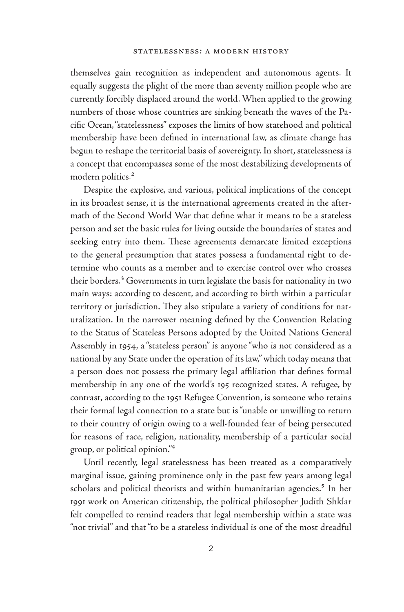themselves gain recognition as independent and autonomous agents. It equally suggests the plight of the more than seventy million people who are currently forcibly displaced around the world. When applied to the growing numbers of those whose countries are sinking beneath the waves of the Pacific Ocean, "statelessness" exposes the limits of how statehood and political membership have been defined in international law, as climate change has begun to reshape the territorial basis of sovereignty. In short, statelessness is a concept that encompasses some of the most destabilizing developments of modern politics.<sup>2</sup>

Despite the explosive, and various, political implications of the concept in its broadest sense, it is the international agreements created in the aftermath of the Second World War that define what it means to be a stateless person and set the basic rules for living outside the boundaries of states and seeking entry into them. These agreements demarcate limited exceptions to the general presumption that states possess a fundamental right to determine who counts as a member and to exercise control over who crosses their borders.<sup>3</sup> Governments in turn legislate the basis for nationality in two main ways: according to descent, and according to birth within a particular territory or jurisdiction. They also stipulate a variety of conditions for naturalization. In the narrower meaning defined by the Convention Relating to the Status of Stateless Persons adopted by the United Nations General Assembly in 1954, a "stateless person" is anyone "who is not considered as a national by any State under the operation of its law," which today means that a person does not possess the primary legal affiliation that defines formal membership in any one of the world's 195 recognized states. A refugee, by contrast, according to the 1951 Refugee Convention, is someone who retains their formal legal connection to a state but is "unable or unwilling to return to their country of origin owing to a well-founded fear of being persecuted for reasons of race, religion, nationality, membership of a particular social group, or political opinion."4

Until recently, legal statelessness has been treated as a comparatively marginal issue, gaining prominence only in the past few years among legal scholars and political theorists and within humanitarian agencies.<sup>5</sup> In her 1991 work on American citizenship, the political philosopher Judith Shklar felt compelled to remind readers that legal membership within a state was "not trivial" and that "to be a stateless individual is one of the most dreadful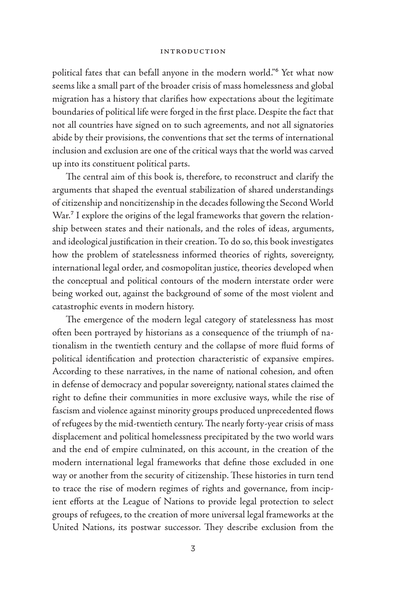political fates that can befall anyone in the modern world."6 Yet what now seems like a small part of the broader crisis of mass homelessness and global migration has a history that clarifies how expectations about the legitimate boundaries of political life were forged in the first place. Despite the fact that not all countries have signed on to such agreements, and not all signatories abide by their provisions, the conventions that set the terms of international inclusion and exclusion are one of the critical ways that the world was carved up into its constituent political parts.

The central aim of this book is, therefore, to reconstruct and clarify the arguments that shaped the eventual stabilization of shared understandings of citizenship and noncitizenship in the decades following the Second World War.<sup>7</sup> I explore the origins of the legal frameworks that govern the relationship between states and their nationals, and the roles of ideas, arguments, and ideological justification in their creation. To do so, this book investigates how the problem of statelessness informed theories of rights, sovereignty, international legal order, and cosmopolitan justice, theories developed when the conceptual and political contours of the modern interstate order were being worked out, against the background of some of the most violent and catastrophic events in modern history.

The emergence of the modern legal category of statelessness has most often been portrayed by historians as a consequence of the triumph of nationalism in the twentieth century and the collapse of more fluid forms of political identification and protection characteristic of expansive empires. According to these narratives, in the name of national cohesion, and often in defense of democracy and popular sovereignty, national states claimed the right to define their communities in more exclusive ways, while the rise of fascism and violence against minority groups produced unprecedented flows of refugees by the mid-twentieth century. The nearly forty-year crisis of mass displacement and political homelessness precipitated by the two world wars and the end of empire culminated, on this account, in the creation of the modern international legal frameworks that define those excluded in one way or another from the security of citizenship. These histories in turn tend to trace the rise of modern regimes of rights and governance, from incipient efforts at the League of Nations to provide legal protection to select groups of refugees, to the creation of more universal legal frameworks at the United Nations, its postwar successor. They describe exclusion from the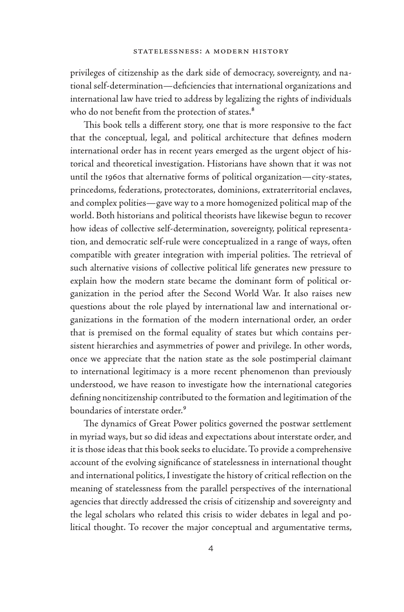privileges of citizenship as the dark side of democracy, sovereignty, and national self-determination—deficiencies that international organizations and international law have tried to address by legalizing the rights of individuals who do not benefit from the protection of states.<sup>8</sup>

This book tells a different story, one that is more responsive to the fact that the conceptual, legal, and political architecture that defines modern international order has in recent years emerged as the urgent object of historical and theoretical investigation. Historians have shown that it was not until the 1960s that alternative forms of political organization—city-states, princedoms, federations, protectorates, dominions, extraterritorial enclaves, and complex polities—gave way to a more homogenized political map of the world. Both historians and political theorists have likewise begun to recover how ideas of collective self-determination, sovereignty, political representation, and democratic self-rule were conceptualized in a range of ways, often compatible with greater integration with imperial polities. The retrieval of such alternative visions of collective political life generates new pressure to explain how the modern state became the dominant form of political organization in the period after the Second World War. It also raises new questions about the role played by international law and international organizations in the formation of the modern international order, an order that is premised on the formal equality of states but which contains persistent hierarchies and asymmetries of power and privilege. In other words, once we appreciate that the nation state as the sole postimperial claimant to international legitimacy is a more recent phenomenon than previously understood, we have reason to investigate how the international categories defining noncitizenship contributed to the formation and legitimation of the boundaries of interstate order.<sup>9</sup>

The dynamics of Great Power politics governed the postwar settlement in myriad ways, but so did ideas and expectations about interstate order, and it is those ideas that this book seeks to elucidate. To provide a comprehensive account of the evolving significance of statelessness in international thought and international politics, I investigate the history of critical reflection on the meaning of statelessness from the parallel perspectives of the international agencies that directly addressed the crisis of citizenship and sovereignty and the legal scholars who related this crisis to wider debates in legal and political thought. To recover the major conceptual and argumentative terms,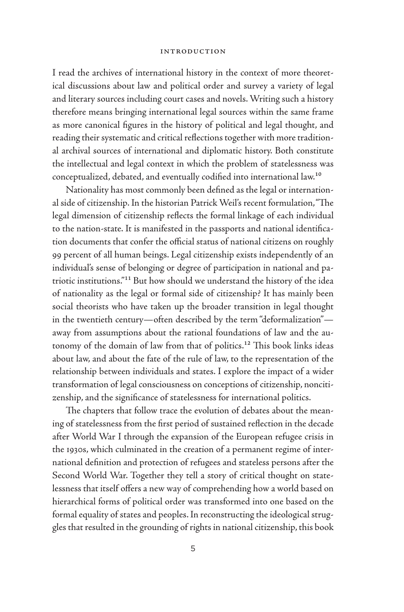I read the archives of international history in the context of more theoretical discussions about law and political order and survey a variety of legal and literary sources including court cases and novels. Writing such a history therefore means bringing international legal sources within the same frame as more canonical figures in the history of political and legal thought, and reading their systematic and critical reflections together with more traditional archival sources of international and diplomatic history. Both constitute the intellectual and legal context in which the problem of statelessness was conceptualized, debated, and eventually codified into international law.10

Nationality has most commonly been defined as the legal or international side of citizenship. In the historian Patrick Weil's recent formulation, "The legal dimension of citizenship reflects the formal linkage of each individual to the nation-state. It is manifested in the passports and national identification documents that confer the official status of national citizens on roughly 99 percent of all human beings. Legal citizenship exists independently of an individual's sense of belonging or degree of participation in national and patriotic institutions."11 But how should we understand the history of the idea of nationality as the legal or formal side of citizenship? It has mainly been social theorists who have taken up the broader transition in legal thought in the twentieth century—often described by the term "deformalization" away from assumptions about the rational foundations of law and the autonomy of the domain of law from that of politics.<sup>12</sup> This book links ideas about law, and about the fate of the rule of law, to the representation of the relationship between individuals and states. I explore the impact of a wider transformation of legal consciousness on conceptions of citizenship, noncitizenship, and the significance of statelessness for international politics.

The chapters that follow trace the evolution of debates about the meaning of statelessness from the first period of sustained reflection in the decade after World War I through the expansion of the European refugee crisis in the 1930s, which culminated in the creation of a permanent regime of international definition and protection of refugees and stateless persons after the Second World War. Together they tell a story of critical thought on statelessness that itself offers a new way of comprehending how a world based on hierarchical forms of political order was transformed into one based on the formal equality of states and peoples. In reconstructing the ideological struggles that resulted in the grounding of rights in national citizenship, this book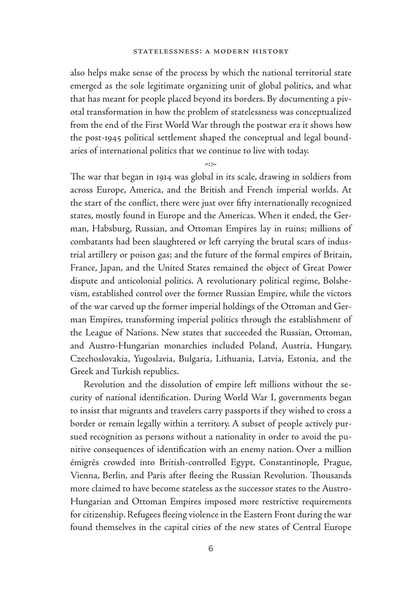also helps make sense of the process by which the national territorial state emerged as the sole legitimate organizing unit of global politics, and what that has meant for people placed beyond its borders. By documenting a pivotal transformation in how the problem of statelessness was conceptualized from the end of the First World War through the postwar era it shows how the post-1945 political settlement shaped the conceptual and legal boundaries of international politics that we continue to live with today.

 $2.12$ 

The war that began in 1914 was global in its scale, drawing in soldiers from across Europe, America, and the British and French imperial worlds. At the start of the conflict, there were just over fifty internationally recognized states, mostly found in Europe and the Americas. When it ended, the German, Habsburg, Russian, and Ottoman Empires lay in ruins; millions of combatants had been slaughtered or left carrying the brutal scars of industrial artillery or poison gas; and the future of the formal empires of Britain, France, Japan, and the United States remained the object of Great Power dispute and anticolonial politics. A revolutionary political regime, Bolshevism, established control over the former Russian Empire, while the victors of the war carved up the former imperial holdings of the Ottoman and German Empires, transforming imperial politics through the establishment of the League of Nations. New states that succeeded the Russian, Ottoman, and Austro-Hungarian monarchies included Poland, Austria, Hungary, Czechoslovakia, Yugoslavia, Bulgaria, Lithuania, Latvia, Estonia, and the Greek and Turkish republics.

Revolution and the dissolution of empire left millions without the security of national identification. During World War I, governments began to insist that migrants and travelers carry passports if they wished to cross a border or remain legally within a territory. A subset of people actively pursued recognition as persons without a nationality in order to avoid the punitive consequences of identification with an enemy nation. Over a million émigrés crowded into British-controlled Egypt, Constantinople, Prague, Vienna, Berlin, and Paris after fleeing the Russian Revolution. Thousands more claimed to have become stateless as the successor states to the Austro-Hungarian and Ottoman Empires imposed more restrictive requirements for citizenship. Refugees fleeing violence in the Eastern Front during the war found themselves in the capital cities of the new states of Central Europe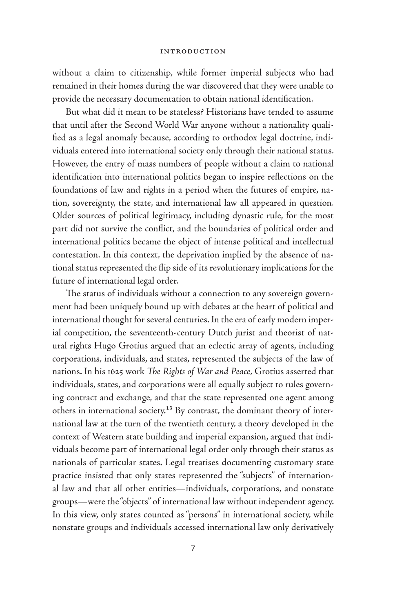without a claim to citizenship, while former imperial subjects who had remained in their homes during the war discovered that they were unable to provide the necessary documentation to obtain national identification.

But what did it mean to be stateless? Historians have tended to assume that until after the Second World War anyone without a nationality qualified as a legal anomaly because, according to orthodox legal doctrine, individuals entered into international society only through their national status. However, the entry of mass numbers of people without a claim to national identification into international politics began to inspire reflections on the foundations of law and rights in a period when the futures of empire, nation, sovereignty, the state, and international law all appeared in question. Older sources of political legitimacy, including dynastic rule, for the most part did not survive the conflict, and the boundaries of political order and international politics became the object of intense political and intellectual contestation. In this context, the deprivation implied by the absence of national status represented the flip side of its revolutionary implications for the future of international legal order.

The status of individuals without a connection to any sovereign government had been uniquely bound up with debates at the heart of political and international thought for several centuries. In the era of early modern imperial competition, the seventeenth-century Dutch jurist and theorist of natural rights Hugo Grotius argued that an eclectic array of agents, including corporations, individuals, and states, represented the subjects of the law of nations. In his 1625 work *The Rights of War and Peace,* Grotius asserted that individuals, states, and corporations were all equally subject to rules governing contract and exchange, and that the state represented one agent among others in international society.13 By contrast, the dominant theory of international law at the turn of the twentieth century, a theory developed in the context of Western state building and imperial expansion, argued that individuals become part of international legal order only through their status as nationals of particular states. Legal treatises documenting customary state practice insisted that only states represented the "subjects" of international law and that all other entities—individuals, corporations, and nonstate groups—were the "objects" of international law without independent agency. In this view, only states counted as "persons" in international society, while nonstate groups and individuals accessed international law only derivatively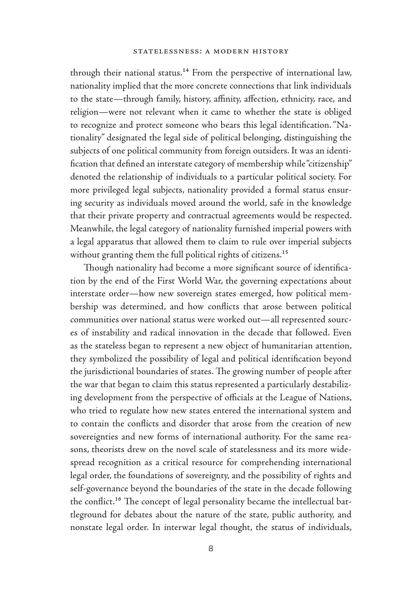through their national status.<sup>14</sup> From the perspective of international law, nationality implied that the more concrete connections that link individuals to the state—through family, history, affinity, affection, ethnicity, race, and religion—were not relevant when it came to whether the state is obliged to recognize and protect someone who bears this legal identification. "Nationality" designated the legal side of political belonging, distinguishing the subjects of one political community from foreign outsiders. It was an identification that defined an interstate category of membership while "citizenship" denoted the relationship of individuals to a particular political society. For more privileged legal subjects, nationality provided a formal status ensuring security as individuals moved around the world, safe in the knowledge that their private property and contractual agreements would be respected. Meanwhile, the legal category of nationality furnished imperial powers with a legal apparatus that allowed them to claim to rule over imperial subjects without granting them the full political rights of citizens.<sup>15</sup>

Though nationality had become a more significant source of identification by the end of the First World War, the governing expectations about interstate order—how new sovereign states emerged, how political membership was determined, and how conflicts that arose between political communities over national status were worked out—all represented sources of instability and radical innovation in the decade that followed. Even as the stateless began to represent a new object of humanitarian attention, they symbolized the possibility of legal and political identification beyond the jurisdictional boundaries of states. The growing number of people after the war that began to claim this status represented a particularly destabilizing development from the perspective of officials at the League of Nations, who tried to regulate how new states entered the international system and to contain the conflicts and disorder that arose from the creation of new sovereignties and new forms of international authority. For the same reasons, theorists drew on the novel scale of statelessness and its more widespread recognition as a critical resource for comprehending international legal order, the foundations of sovereignty, and the possibility of rights and self-governance beyond the boundaries of the state in the decade following the conflict.<sup>16</sup> The concept of legal personality became the intellectual battleground for debates about the nature of the state, public authority, and nonstate legal order. In interwar legal thought, the status of individuals,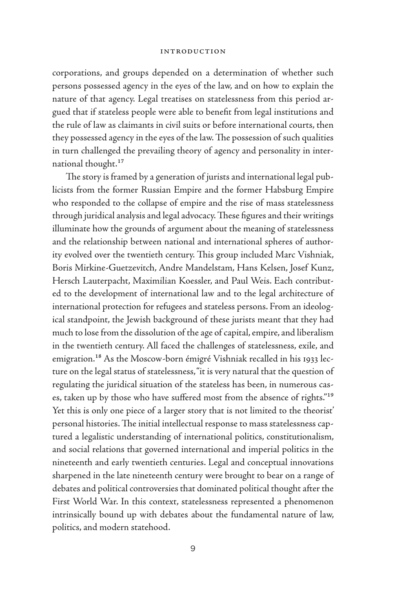corporations, and groups depended on a determination of whether such persons possessed agency in the eyes of the law, and on how to explain the nature of that agency. Legal treatises on statelessness from this period argued that if stateless people were able to benefit from legal institutions and the rule of law as claimants in civil suits or before international courts, then they possessed agency in the eyes of the law. The possession of such qualities in turn challenged the prevailing theory of agency and personality in international thought.17

The story is framed by a generation of jurists and international legal publicists from the former Russian Empire and the former Habsburg Empire who responded to the collapse of empire and the rise of mass statelessness through juridical analysis and legal advocacy. These figures and their writings illuminate how the grounds of argument about the meaning of statelessness and the relationship between national and international spheres of authority evolved over the twentieth century. This group included Marc Vishniak, Boris Mirkine-Guetzevitch, Andre Mandelstam, Hans Kelsen, Josef Kunz, Hersch Lauterpacht, Maximilian Koessler, and Paul Weis. Each contributed to the development of international law and to the legal architecture of international protection for refugees and stateless persons. From an ideological standpoint, the Jewish background of these jurists meant that they had much to lose from the dissolution of the age of capital, empire, and liberalism in the twentieth century. All faced the challenges of statelessness, exile, and emigration.<sup>18</sup> As the Moscow-born émigré Vishniak recalled in his 1933 lecture on the legal status of statelessness, "it is very natural that the question of regulating the juridical situation of the stateless has been, in numerous cases, taken up by those who have suffered most from the absence of rights."19 Yet this is only one piece of a larger story that is not limited to the theorist' personal histories. The initial intellectual response to mass statelessness captured a legalistic understanding of international politics, constitutionalism, and social relations that governed international and imperial politics in the nineteenth and early twentieth centuries. Legal and conceptual innovations sharpened in the late nineteenth century were brought to bear on a range of debates and political controversies that dominated political thought after the First World War. In this context, statelessness represented a phenomenon intrinsically bound up with debates about the fundamental nature of law, politics, and modern statehood.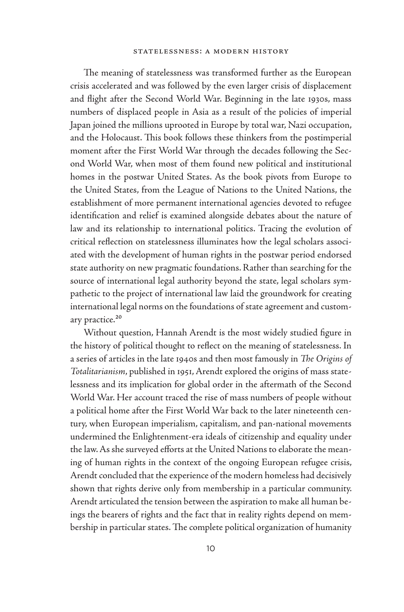The meaning of statelessness was transformed further as the European crisis accelerated and was followed by the even larger crisis of displacement and flight after the Second World War. Beginning in the late 1930s, mass numbers of displaced people in Asia as a result of the policies of imperial Japan joined the millions uprooted in Europe by total war, Nazi occupation, and the Holocaust. This book follows these thinkers from the postimperial moment after the First World War through the decades following the Second World War, when most of them found new political and institutional homes in the postwar United States. As the book pivots from Europe to the United States, from the League of Nations to the United Nations, the establishment of more permanent international agencies devoted to refugee identification and relief is examined alongside debates about the nature of law and its relationship to international politics. Tracing the evolution of critical reflection on statelessness illuminates how the legal scholars associated with the development of human rights in the postwar period endorsed state authority on new pragmatic foundations. Rather than searching for the source of international legal authority beyond the state, legal scholars sympathetic to the project of international law laid the groundwork for creating international legal norms on the foundations of state agreement and customary practice.<sup>20</sup>

Without question, Hannah Arendt is the most widely studied figure in the history of political thought to reflect on the meaning of statelessness. In a series of articles in the late 1940s and then most famously in *The Origins of Totalitarianism*, published in 1951, Arendt explored the origins of mass statelessness and its implication for global order in the aftermath of the Second World War. Her account traced the rise of mass numbers of people without a political home after the First World War back to the later nineteenth century, when European imperialism, capitalism, and pan-national movements undermined the Enlightenment-era ideals of citizenship and equality under the law. As she surveyed efforts at the United Nations to elaborate the meaning of human rights in the context of the ongoing European refugee crisis, Arendt concluded that the experience of the modern homeless had decisively shown that rights derive only from membership in a particular community. Arendt articulated the tension between the aspiration to make all human beings the bearers of rights and the fact that in reality rights depend on membership in particular states. The complete political organization of humanity